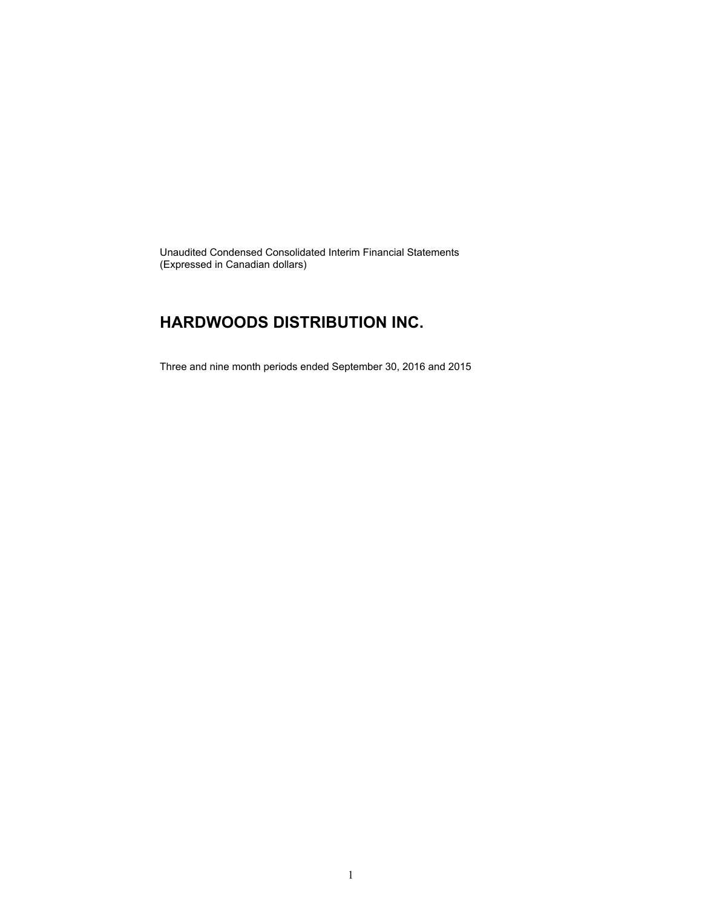Unaudited Condensed Consolidated Interim Financial Statements (Expressed in Canadian dollars)

### **HARDWOODS DISTRIBUTION INC.**

Three and nine month periods ended September 30, 2016 and 2015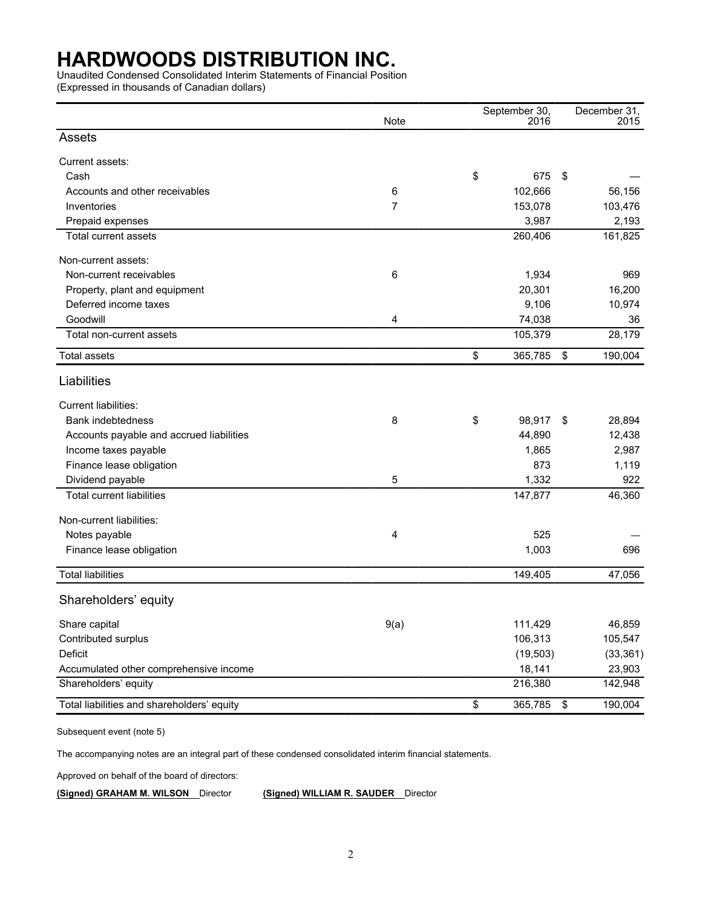Unaudited Condensed Consolidated Interim Statements of Financial Position

(Expressed in thousands of Canadian dollars)

|                                            | Note |    |           |               |                     |
|--------------------------------------------|------|----|-----------|---------------|---------------------|
| Assets                                     |      |    | 2016      |               | 2015                |
|                                            |      |    |           |               |                     |
| Current assets:                            |      |    |           |               |                     |
| Cash                                       |      | \$ | 675       | \$            |                     |
| Accounts and other receivables             | 6    |    | 102,666   |               | 56,156              |
| Inventories                                | 7    |    | 153,078   |               | 103,476             |
| Prepaid expenses                           |      |    | 3,987     |               | 2,193               |
| Total current assets                       |      |    | 260,406   |               | 161,825             |
| Non-current assets:                        |      |    |           |               |                     |
| Non-current receivables                    | 6    |    | 1,934     |               | 969                 |
| Property, plant and equipment              |      |    | 20,301    |               | 16,200              |
| Deferred income taxes                      |      |    | 9,106     |               | 10,974              |
| Goodwill                                   | 4    |    | 74,038    |               | 36                  |
| Total non-current assets                   |      |    | 105,379   |               | 28,179              |
| <b>Total assets</b>                        |      | \$ | 365,785   | $\sqrt[6]{3}$ | 190,004             |
| Liabilities                                |      |    |           |               |                     |
| Current liabilities:                       |      |    |           |               |                     |
| Bank indebtedness                          | 8    | \$ | 98,917    | \$            | 28,894              |
| Accounts payable and accrued liabilities   |      |    | 44,890    |               | 12,438              |
| Income taxes payable                       |      |    | 1,865     |               | 2,987               |
| Finance lease obligation                   |      |    | 873       |               | 1,119               |
| Dividend payable                           | 5    |    | 1,332     |               | 922                 |
| <b>Total current liabilities</b>           |      |    | 147,877   |               | 46,360              |
| Non-current liabilities:                   |      |    |           |               |                     |
| Notes payable                              | 4    |    | 525       |               |                     |
| Finance lease obligation                   |      |    | 1,003     |               | 696                 |
| <b>Total liabilities</b>                   |      |    | 149,405   |               | 47,056              |
| Shareholders' equity                       |      |    |           |               |                     |
|                                            |      |    | 111,429   |               | 46,859              |
| Share capital<br>Contributed surplus       | 9(a) |    | 106,313   |               | 105,547             |
| Deficit                                    |      |    | (19, 503) |               |                     |
| Accumulated other comprehensive income     |      |    | 18,141    |               | (33, 361)<br>23,903 |
| Shareholders' equity                       |      |    | 216,380   |               | 142,948             |
|                                            |      |    |           |               |                     |
| Total liabilities and shareholders' equity |      | \$ | 365,785   | $\sqrt{3}$    | 190,004             |

Subsequent event (note 5)

The accompanying notes are an integral part of these condensed consolidated interim financial statements.

Approved on behalf of the board of directors:

**(Signed) GRAHAM M. WILSON** Director **(Signed) WILLIAM R. SAUDER** Director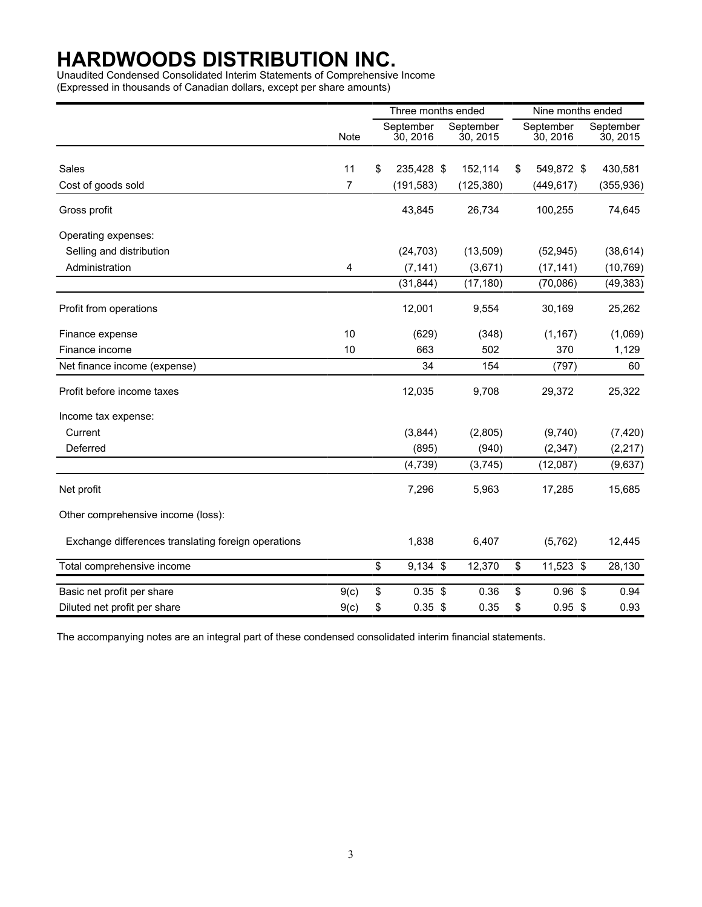Unaudited Condensed Consolidated Interim Statements of Comprehensive Income (Expressed in thousands of Canadian dollars, except per share amounts)

|                                                     |                | Three months ended    |                       | Nine months ended     |                       |  |
|-----------------------------------------------------|----------------|-----------------------|-----------------------|-----------------------|-----------------------|--|
|                                                     | <b>Note</b>    | September<br>30, 2016 | September<br>30, 2015 | September<br>30, 2016 | September<br>30, 2015 |  |
|                                                     |                |                       |                       |                       |                       |  |
| Sales                                               | 11             | \$<br>235,428 \$      | 152,114               | \$<br>549,872 \$      | 430,581               |  |
| Cost of goods sold                                  | $\overline{7}$ | (191, 583)            | (125, 380)            | (449, 617)            | (355, 936)            |  |
| Gross profit                                        |                | 43,845                | 26,734                | 100,255               | 74,645                |  |
| Operating expenses:                                 |                |                       |                       |                       |                       |  |
| Selling and distribution                            |                | (24, 703)             | (13,509)              | (52, 945)             | (38, 614)             |  |
| Administration                                      | 4              | (7, 141)              | (3,671)               | (17, 141)             | (10, 769)             |  |
|                                                     |                | (31, 844)             | (17, 180)             | (70,086)              | (49, 383)             |  |
| Profit from operations                              |                | 12,001                | 9,554                 | 30,169                | 25,262                |  |
| Finance expense                                     | 10             | (629)                 | (348)                 | (1, 167)              | (1,069)               |  |
| Finance income                                      | 10             | 663                   | 502                   | 370                   | 1,129                 |  |
| Net finance income (expense)                        |                | 34                    | 154                   | (797)                 | 60                    |  |
| Profit before income taxes                          |                | 12,035                | 9,708                 | 29,372                | 25,322                |  |
| Income tax expense:                                 |                |                       |                       |                       |                       |  |
| Current                                             |                | (3,844)               | (2,805)               | (9,740)               | (7, 420)              |  |
| Deferred                                            |                | (895)                 | (940)                 | (2, 347)              | (2, 217)              |  |
|                                                     |                | (4,739)               | (3,745)               | (12,087)              | (9,637)               |  |
| Net profit                                          |                | 7,296                 | 5,963                 | 17,285                | 15,685                |  |
| Other comprehensive income (loss):                  |                |                       |                       |                       |                       |  |
| Exchange differences translating foreign operations |                | 1,838                 | 6,407                 | (5, 762)              | 12,445                |  |
| Total comprehensive income                          |                | \$<br>$9,134$ \$      | 12,370                | \$<br>11,523 \$       | 28,130                |  |
| Basic net profit per share                          | 9(c)           | \$<br>$0.35$ \$       | 0.36                  | \$<br>$0.96$ \$       | 0.94                  |  |
| Diluted net profit per share                        | 9(c)           | \$<br>$0.35$ \$       | 0.35                  | \$<br>$0.95$ \$       | 0.93                  |  |

The accompanying notes are an integral part of these condensed consolidated interim financial statements.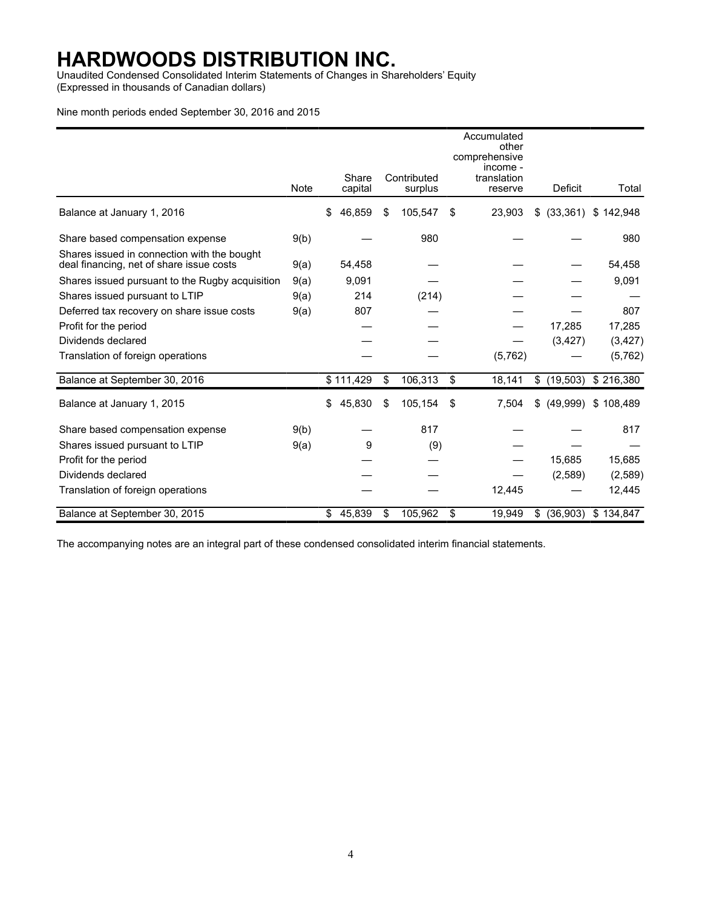Unaudited Condensed Consolidated Interim Statements of Changes in Shareholders' Equity (Expressed in thousands of Canadian dollars)

#### Nine month periods ended September 30, 2016 and 2015

|                                                                                         |      |                  | Accumulated<br>other<br>comprehensive<br>income - |                        |    |                        |                 |           |
|-----------------------------------------------------------------------------------------|------|------------------|---------------------------------------------------|------------------------|----|------------------------|-----------------|-----------|
|                                                                                         | Note | Share<br>capital |                                                   | Contributed<br>surplus |    | translation<br>reserve | Deficit         | Total     |
| Balance at January 1, 2016                                                              |      | \$<br>46,859     | \$                                                | 105,547                | \$ | 23,903                 | (33, 361)<br>\$ | \$142,948 |
| Share based compensation expense                                                        | 9(b) |                  |                                                   | 980                    |    |                        |                 | 980       |
| Shares issued in connection with the bought<br>deal financing, net of share issue costs | 9(a) | 54,458           |                                                   |                        |    |                        |                 | 54,458    |
| Shares issued pursuant to the Rugby acquisition                                         | 9(a) | 9,091            |                                                   |                        |    |                        |                 | 9,091     |
| Shares issued pursuant to LTIP                                                          | 9(a) | 214              |                                                   | (214)                  |    |                        |                 |           |
| Deferred tax recovery on share issue costs                                              | 9(a) | 807              |                                                   |                        |    |                        |                 | 807       |
| Profit for the period                                                                   |      |                  |                                                   |                        |    |                        | 17,285          | 17,285    |
| Dividends declared                                                                      |      |                  |                                                   |                        |    |                        | (3, 427)        | (3, 427)  |
| Translation of foreign operations                                                       |      |                  |                                                   |                        |    | (5,762)                |                 | (5,762)   |
| Balance at September 30, 2016                                                           |      | \$111,429        | \$                                                | 106,313                | \$ | 18,141                 | (19, 503)<br>\$ | \$216,380 |
| Balance at January 1, 2015                                                              |      | \$<br>45,830     | \$                                                | 105,154                | \$ | 7,504                  | (49,999)<br>\$  | \$108,489 |
| Share based compensation expense                                                        | 9(b) |                  |                                                   | 817                    |    |                        |                 | 817       |
| Shares issued pursuant to LTIP                                                          | 9(a) | 9                |                                                   | (9)                    |    |                        |                 |           |
| Profit for the period                                                                   |      |                  |                                                   |                        |    |                        | 15,685          | 15,685    |
| Dividends declared                                                                      |      |                  |                                                   |                        |    |                        | (2,589)         | (2,589)   |
| Translation of foreign operations                                                       |      |                  |                                                   |                        |    | 12,445                 |                 | 12,445    |
| Balance at September 30, 2015                                                           |      | \$<br>45,839     | \$                                                | 105,962                | \$ | 19,949                 | (36,903)<br>\$  | \$134,847 |

The accompanying notes are an integral part of these condensed consolidated interim financial statements.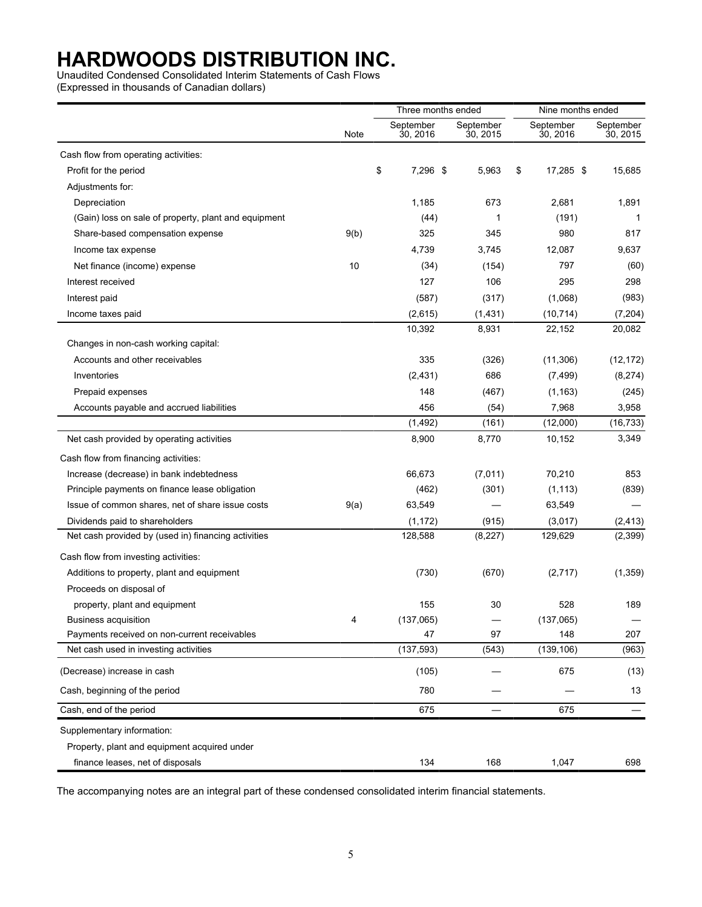Unaudited Condensed Consolidated Interim Statements of Cash Flows

(Expressed in thousands of Canadian dollars)

|                                                      |      | Three months ended |                       | Nine months ended     |                       |                       |
|------------------------------------------------------|------|--------------------|-----------------------|-----------------------|-----------------------|-----------------------|
|                                                      | Note |                    | September<br>30, 2016 | September<br>30, 2015 | September<br>30, 2016 | September<br>30, 2015 |
| Cash flow from operating activities:                 |      |                    |                       |                       |                       |                       |
| Profit for the period                                |      | \$                 | 7,296 \$              | 5,963                 | \$<br>17,285 \$       | 15,685                |
| Adjustments for:                                     |      |                    |                       |                       |                       |                       |
| Depreciation                                         |      |                    | 1,185                 | 673                   | 2,681                 | 1,891                 |
| (Gain) loss on sale of property, plant and equipment |      |                    | (44)                  | 1                     | (191)                 | 1                     |
| Share-based compensation expense                     | 9(b) |                    | 325                   | 345                   | 980                   | 817                   |
| Income tax expense                                   |      |                    | 4,739                 | 3,745                 | 12,087                | 9,637                 |
| Net finance (income) expense                         | 10   |                    | (34)                  | (154)                 | 797                   | (60)                  |
| Interest received                                    |      |                    | 127                   | 106                   | 295                   | 298                   |
| Interest paid                                        |      |                    | (587)                 | (317)                 | (1,068)               | (983)                 |
| Income taxes paid                                    |      |                    | (2,615)               | (1,431)               | (10, 714)             | (7, 204)              |
|                                                      |      |                    | 10,392                | 8,931                 | 22,152                | 20,082                |
| Changes in non-cash working capital:                 |      |                    |                       |                       |                       |                       |
| Accounts and other receivables                       |      |                    | 335                   | (326)                 | (11, 306)             | (12, 172)             |
| Inventories                                          |      |                    | (2, 431)              | 686                   | (7, 499)              | (8, 274)              |
| Prepaid expenses                                     |      |                    | 148                   | (467)                 | (1, 163)              | (245)                 |
| Accounts payable and accrued liabilities             |      |                    | 456                   | (54)                  | 7,968                 | 3,958                 |
|                                                      |      |                    | (1, 492)              | (161)                 | (12,000)              | (16, 733)             |
| Net cash provided by operating activities            |      |                    | 8,900                 | 8,770                 | 10,152                | 3,349                 |
| Cash flow from financing activities:                 |      |                    |                       |                       |                       |                       |
| Increase (decrease) in bank indebtedness             |      |                    | 66,673                | (7,011)               | 70,210                | 853                   |
| Principle payments on finance lease obligation       |      |                    | (462)                 | (301)                 | (1, 113)              | (839)                 |
| Issue of common shares, net of share issue costs     | 9(a) |                    | 63,549                |                       | 63,549                |                       |
| Dividends paid to shareholders                       |      |                    | (1, 172)              | (915)                 | (3,017)               | (2, 413)              |
| Net cash provided by (used in) financing activities  |      |                    | 128,588               | (8, 227)              | 129,629               | (2,399)               |
| Cash flow from investing activities:                 |      |                    |                       |                       |                       |                       |
| Additions to property, plant and equipment           |      |                    | (730)                 | (670)                 | (2,717)               | (1,359)               |
| Proceeds on disposal of                              |      |                    |                       |                       |                       |                       |
| property, plant and equipment                        |      |                    | 155                   | 30                    | 528                   | 189                   |
| <b>Business acquisition</b>                          | 4    |                    | (137,065)             |                       | (137,065)             |                       |
| Payments received on non-current receivables         |      |                    | 47                    | 97                    | 148                   | 207                   |
| Net cash used in investing activities                |      |                    | (137, 593)            | (543)                 | (139, 106)            | (963)                 |
| (Decrease) increase in cash                          |      |                    | (105)                 |                       | 675                   | (13)                  |
| Cash, beginning of the period                        |      |                    | 780                   |                       |                       | 13                    |
| Cash, end of the period                              |      |                    | 675                   |                       | 675                   |                       |
| Supplementary information:                           |      |                    |                       |                       |                       |                       |
| Property, plant and equipment acquired under         |      |                    |                       |                       |                       |                       |
| finance leases, net of disposals                     |      |                    | 134                   | 168                   | 1,047                 | 698                   |

The accompanying notes are an integral part of these condensed consolidated interim financial statements.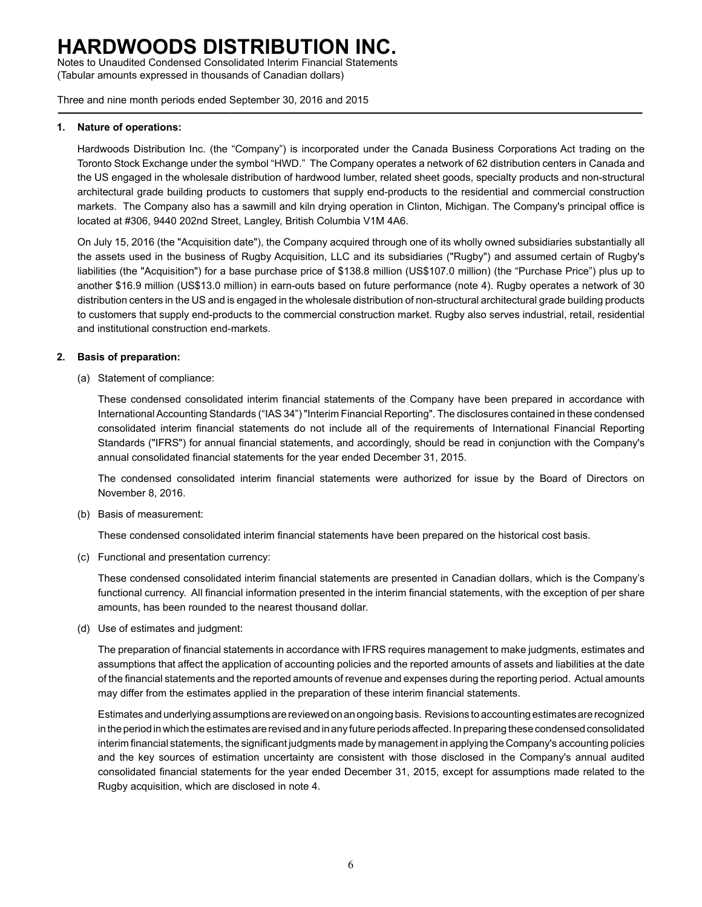Notes to Unaudited Condensed Consolidated Interim Financial Statements (Tabular amounts expressed in thousands of Canadian dollars)

Three and nine month periods ended September 30, 2016 and 2015

#### **1. Nature of operations:**

Hardwoods Distribution Inc. (the "Company") is incorporated under the Canada Business Corporations Act trading on the Toronto Stock Exchange under the symbol "HWD." The Company operates a network of 62 distribution centers in Canada and the US engaged in the wholesale distribution of hardwood lumber, related sheet goods, specialty products and non-structural architectural grade building products to customers that supply end-products to the residential and commercial construction markets. The Company also has a sawmill and kiln drying operation in Clinton, Michigan. The Company's principal office is located at #306, 9440 202nd Street, Langley, British Columbia V1M 4A6.

On July 15, 2016 (the "Acquisition date"), the Company acquired through one of its wholly owned subsidiaries substantially all the assets used in the business of Rugby Acquisition, LLC and its subsidiaries ("Rugby") and assumed certain of Rugby's liabilities (the "Acquisition") for a base purchase price of \$138.8 million (US\$107.0 million) (the "Purchase Price") plus up to another \$16.9 million (US\$13.0 million) in earn-outs based on future performance (note 4). Rugby operates a network of 30 distribution centers in the US and is engaged in the wholesale distribution of non-structural architectural grade building products to customers that supply end-products to the commercial construction market. Rugby also serves industrial, retail, residential and institutional construction end-markets.

### **2. Basis of preparation:**

(a) Statement of compliance:

These condensed consolidated interim financial statements of the Company have been prepared in accordance with International Accounting Standards ("IAS 34") "Interim Financial Reporting". The disclosures contained in these condensed consolidated interim financial statements do not include all of the requirements of International Financial Reporting Standards ("IFRS") for annual financial statements, and accordingly, should be read in conjunction with the Company's annual consolidated financial statements for the year ended December 31, 2015.

The condensed consolidated interim financial statements were authorized for issue by the Board of Directors on November 8, 2016.

(b) Basis of measurement:

These condensed consolidated interim financial statements have been prepared on the historical cost basis.

(c) Functional and presentation currency:

These condensed consolidated interim financial statements are presented in Canadian dollars, which is the Company's functional currency. All financial information presented in the interim financial statements, with the exception of per share amounts, has been rounded to the nearest thousand dollar.

(d) Use of estimates and judgment:

The preparation of financial statements in accordance with IFRS requires management to make judgments, estimates and assumptions that affect the application of accounting policies and the reported amounts of assets and liabilities at the date of the financial statements and the reported amounts of revenue and expenses during the reporting period. Actual amounts may differ from the estimates applied in the preparation of these interim financial statements.

Estimates and underlying assumptions are reviewed on an ongoing basis. Revisions to accounting estimates are recognized in the period in which the estimates are revised and in any future periods affected. In preparing these condensed consolidated interim financial statements, the significant judgments made by management in applying the Company's accounting policies and the key sources of estimation uncertainty are consistent with those disclosed in the Company's annual audited consolidated financial statements for the year ended December 31, 2015, except for assumptions made related to the Rugby acquisition, which are disclosed in note 4.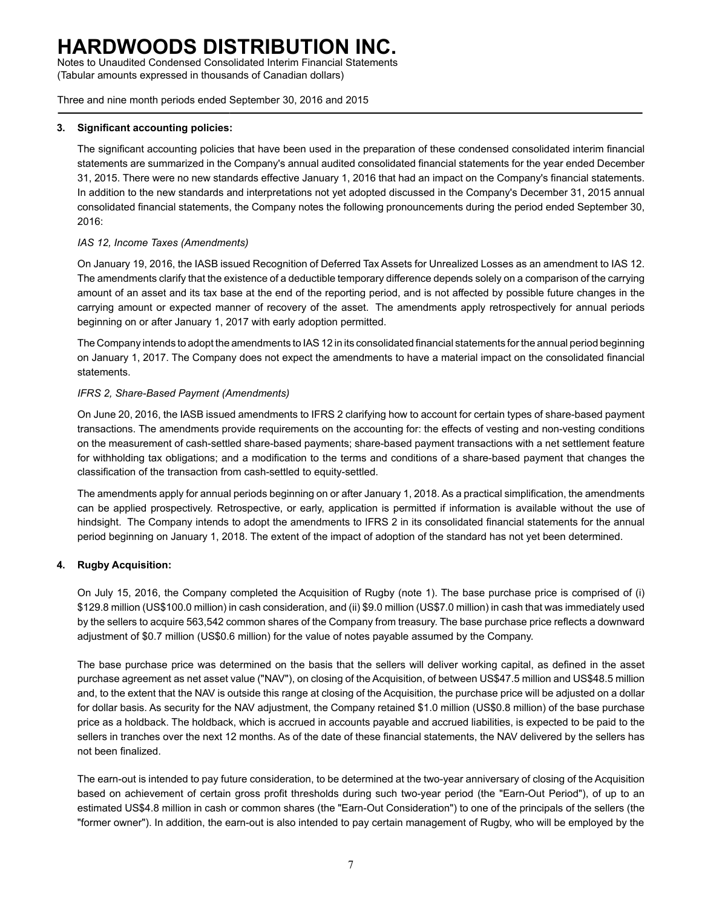Notes to Unaudited Condensed Consolidated Interim Financial Statements (Tabular amounts expressed in thousands of Canadian dollars)

Three and nine month periods ended September 30, 2016 and 2015

### **3. Significant accounting policies:**

The significant accounting policies that have been used in the preparation of these condensed consolidated interim financial statements are summarized in the Company's annual audited consolidated financial statements for the year ended December 31, 2015. There were no new standards effective January 1, 2016 that had an impact on the Company's financial statements. In addition to the new standards and interpretations not yet adopted discussed in the Company's December 31, 2015 annual consolidated financial statements, the Company notes the following pronouncements during the period ended September 30, 2016:

### *IAS 12, Income Taxes (Amendments)*

On January 19, 2016, the IASB issued Recognition of Deferred Tax Assets for Unrealized Losses as an amendment to IAS 12. The amendments clarify that the existence of a deductible temporary difference depends solely on a comparison of the carrying amount of an asset and its tax base at the end of the reporting period, and is not affected by possible future changes in the carrying amount or expected manner of recovery of the asset. The amendments apply retrospectively for annual periods beginning on or after January 1, 2017 with early adoption permitted.

The Company intends to adopt the amendments to IAS 12 in its consolidated financial statements for the annual period beginning on January 1, 2017. The Company does not expect the amendments to have a material impact on the consolidated financial statements.

### *IFRS 2, Share-Based Payment (Amendments)*

On June 20, 2016, the IASB issued amendments to IFRS 2 clarifying how to account for certain types of share-based payment transactions. The amendments provide requirements on the accounting for: the effects of vesting and non-vesting conditions on the measurement of cash-settled share-based payments; share-based payment transactions with a net settlement feature for withholding tax obligations; and a modification to the terms and conditions of a share-based payment that changes the classification of the transaction from cash-settled to equity-settled.

The amendments apply for annual periods beginning on or after January 1, 2018. As a practical simplification, the amendments can be applied prospectively. Retrospective, or early, application is permitted if information is available without the use of hindsight. The Company intends to adopt the amendments to IFRS 2 in its consolidated financial statements for the annual period beginning on January 1, 2018. The extent of the impact of adoption of the standard has not yet been determined.

### **4. Rugby Acquisition:**

On July 15, 2016, the Company completed the Acquisition of Rugby (note 1). The base purchase price is comprised of (i) \$129.8 million (US\$100.0 million) in cash consideration, and (ii) \$9.0 million (US\$7.0 million) in cash that was immediately used by the sellers to acquire 563,542 common shares of the Company from treasury. The base purchase price reflects a downward adjustment of \$0.7 million (US\$0.6 million) for the value of notes payable assumed by the Company.

The base purchase price was determined on the basis that the sellers will deliver working capital, as defined in the asset purchase agreement as net asset value ("NAV"), on closing of the Acquisition, of between US\$47.5 million and US\$48.5 million and, to the extent that the NAV is outside this range at closing of the Acquisition, the purchase price will be adjusted on a dollar for dollar basis. As security for the NAV adjustment, the Company retained \$1.0 million (US\$0.8 million) of the base purchase price as a holdback. The holdback, which is accrued in accounts payable and accrued liabilities, is expected to be paid to the sellers in tranches over the next 12 months. As of the date of these financial statements, the NAV delivered by the sellers has not been finalized.

The earn-out is intended to pay future consideration, to be determined at the two-year anniversary of closing of the Acquisition based on achievement of certain gross profit thresholds during such two-year period (the "Earn-Out Period"), of up to an estimated US\$4.8 million in cash or common shares (the "Earn-Out Consideration") to one of the principals of the sellers (the "former owner"). In addition, the earn-out is also intended to pay certain management of Rugby, who will be employed by the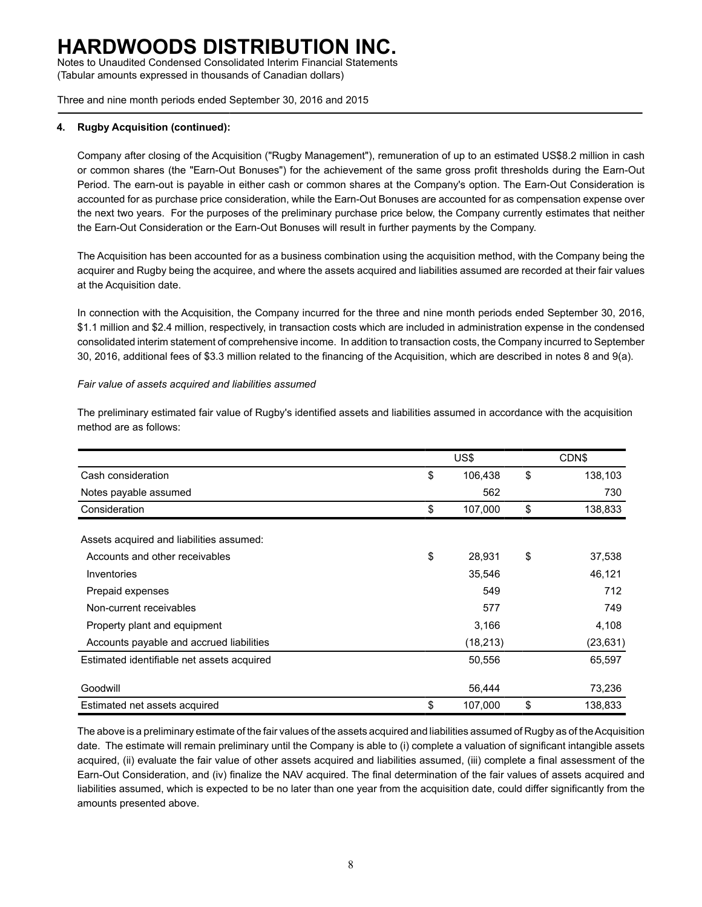Notes to Unaudited Condensed Consolidated Interim Financial Statements (Tabular amounts expressed in thousands of Canadian dollars)

Three and nine month periods ended September 30, 2016 and 2015

### **4. Rugby Acquisition (continued):**

Company after closing of the Acquisition ("Rugby Management"), remuneration of up to an estimated US\$8.2 million in cash or common shares (the "Earn-Out Bonuses") for the achievement of the same gross profit thresholds during the Earn-Out Period. The earn-out is payable in either cash or common shares at the Company's option. The Earn-Out Consideration is accounted for as purchase price consideration, while the Earn-Out Bonuses are accounted for as compensation expense over the next two years. For the purposes of the preliminary purchase price below, the Company currently estimates that neither the Earn-Out Consideration or the Earn-Out Bonuses will result in further payments by the Company.

The Acquisition has been accounted for as a business combination using the acquisition method, with the Company being the acquirer and Rugby being the acquiree, and where the assets acquired and liabilities assumed are recorded at their fair values at the Acquisition date.

In connection with the Acquisition, the Company incurred for the three and nine month periods ended September 30, 2016, \$1.1 million and \$2.4 million, respectively, in transaction costs which are included in administration expense in the condensed consolidated interim statement of comprehensive income. In addition to transaction costs, the Company incurred to September 30, 2016, additional fees of \$3.3 million related to the financing of the Acquisition, which are described in notes 8 and 9(a).

#### *Fair value of assets acquired and liabilities assumed*

|                                            | US\$          | <b>CDNS</b>   |
|--------------------------------------------|---------------|---------------|
| Cash consideration                         | \$<br>106,438 | \$<br>138,103 |
| Notes payable assumed                      | 562           | 730           |
| Consideration                              | \$<br>107,000 | \$<br>138,833 |
| Assets acquired and liabilities assumed:   |               |               |
| Accounts and other receivables             | \$<br>28,931  | \$<br>37,538  |
| Inventories                                | 35,546        | 46,121        |
| Prepaid expenses                           | 549           | 712           |
| Non-current receivables                    | 577           | 749           |
| Property plant and equipment               | 3,166         | 4,108         |
| Accounts payable and accrued liabilities   | (18, 213)     | (23, 631)     |
| Estimated identifiable net assets acquired | 50,556        | 65,597        |
| Goodwill                                   | 56,444        | 73,236        |
| Estimated net assets acquired              | \$<br>107,000 | \$<br>138,833 |

The preliminary estimated fair value of Rugby's identified assets and liabilities assumed in accordance with the acquisition method are as follows:

The above is a preliminary estimate of the fair values of the assets acquired and liabilities assumed of Rugby as of the Acquisition date. The estimate will remain preliminary until the Company is able to (i) complete a valuation of significant intangible assets acquired, (ii) evaluate the fair value of other assets acquired and liabilities assumed, (iii) complete a final assessment of the Earn-Out Consideration, and (iv) finalize the NAV acquired. The final determination of the fair values of assets acquired and liabilities assumed, which is expected to be no later than one year from the acquisition date, could differ significantly from the amounts presented above.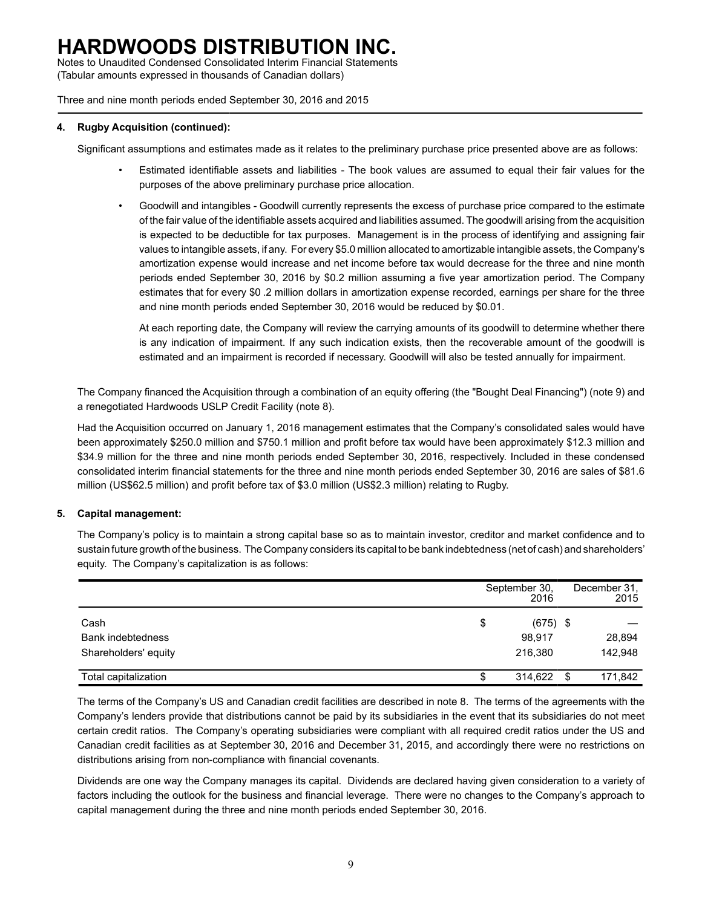Notes to Unaudited Condensed Consolidated Interim Financial Statements (Tabular amounts expressed in thousands of Canadian dollars)

Three and nine month periods ended September 30, 2016 and 2015

#### **4. Rugby Acquisition (continued):**

Significant assumptions and estimates made as it relates to the preliminary purchase price presented above are as follows:

- Estimated identifiable assets and liabilities The book values are assumed to equal their fair values for the purposes of the above preliminary purchase price allocation.
- Goodwill and intangibles Goodwill currently represents the excess of purchase price compared to the estimate of the fair value of the identifiable assets acquired and liabilities assumed. The goodwill arising from the acquisition is expected to be deductible for tax purposes. Management is in the process of identifying and assigning fair values to intangible assets, if any. For every \$5.0 million allocated to amortizable intangible assets, the Company's amortization expense would increase and net income before tax would decrease for the three and nine month periods ended September 30, 2016 by \$0.2 million assuming a five year amortization period. The Company estimates that for every \$0 .2 million dollars in amortization expense recorded, earnings per share for the three and nine month periods ended September 30, 2016 would be reduced by \$0.01.

At each reporting date, the Company will review the carrying amounts of its goodwill to determine whether there is any indication of impairment. If any such indication exists, then the recoverable amount of the goodwill is estimated and an impairment is recorded if necessary. Goodwill will also be tested annually for impairment.

The Company financed the Acquisition through a combination of an equity offering (the "Bought Deal Financing") (note 9) and a renegotiated Hardwoods USLP Credit Facility (note 8).

Had the Acquisition occurred on January 1, 2016 management estimates that the Company's consolidated sales would have been approximately \$250.0 million and \$750.1 million and profit before tax would have been approximately \$12.3 million and \$34.9 million for the three and nine month periods ended September 30, 2016, respectively. Included in these condensed consolidated interim financial statements for the three and nine month periods ended September 30, 2016 are sales of \$81.6 million (US\$62.5 million) and profit before tax of \$3.0 million (US\$2.3 million) relating to Rugby.

### **5. Capital management:**

The Company's policy is to maintain a strong capital base so as to maintain investor, creditor and market confidence and to sustain future growth of the business. The Company considers its capital to be bank indebtedness (net of cash) and shareholders' equity. The Company's capitalization is as follows:

|                          |    | September 30,<br>2016 | December 31,<br>2015 |
|--------------------------|----|-----------------------|----------------------|
| Cash                     | \$ | $(675)$ \$            |                      |
| <b>Bank indebtedness</b> |    | 98,917                | 28,894               |
| Shareholders' equity     |    | 216.380               | 142,948              |
| Total capitalization     | ง  | 314,622               | \$<br>171,842        |

The terms of the Company's US and Canadian credit facilities are described in note 8. The terms of the agreements with the Company's lenders provide that distributions cannot be paid by its subsidiaries in the event that its subsidiaries do not meet certain credit ratios. The Company's operating subsidiaries were compliant with all required credit ratios under the US and Canadian credit facilities as at September 30, 2016 and December 31, 2015, and accordingly there were no restrictions on distributions arising from non-compliance with financial covenants.

Dividends are one way the Company manages its capital. Dividends are declared having given consideration to a variety of factors including the outlook for the business and financial leverage. There were no changes to the Company's approach to capital management during the three and nine month periods ended September 30, 2016.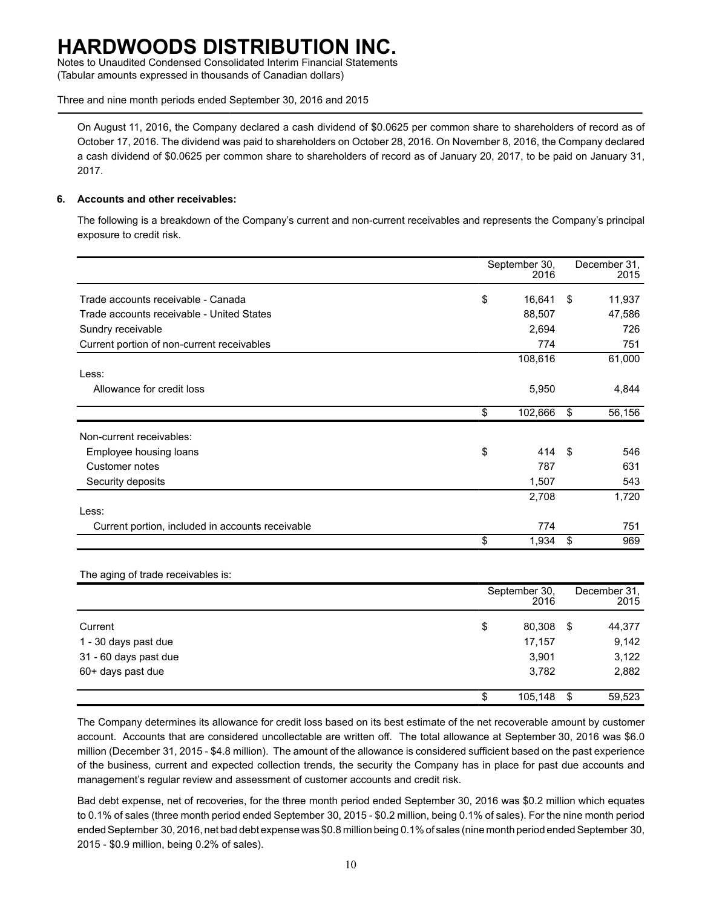Notes to Unaudited Condensed Consolidated Interim Financial Statements (Tabular amounts expressed in thousands of Canadian dollars)

Three and nine month periods ended September 30, 2016 and 2015

On August 11, 2016, the Company declared a cash dividend of \$0.0625 per common share to shareholders of record as of October 17, 2016. The dividend was paid to shareholders on October 28, 2016. On November 8, 2016, the Company declared a cash dividend of \$0.0625 per common share to shareholders of record as of January 20, 2017, to be paid on January 31, 2017.

### **6. Accounts and other receivables:**

The following is a breakdown of the Company's current and non-current receivables and represents the Company's principal exposure to credit risk.

|                                                  | September 30,<br>2016 |     | December 31,<br>2015 |
|--------------------------------------------------|-----------------------|-----|----------------------|
| Trade accounts receivable - Canada               | \$<br>16,641          | \$  | 11,937               |
| Trade accounts receivable - United States        | 88,507                |     | 47,586               |
| Sundry receivable                                | 2,694                 |     | 726                  |
| Current portion of non-current receivables       | 774                   |     | 751                  |
|                                                  | 108,616               |     | 61,000               |
| Less:                                            |                       |     |                      |
| Allowance for credit loss                        | 5,950                 |     | 4,844                |
|                                                  | \$<br>102,666         | \$  | 56,156               |
| Non-current receivables:                         |                       |     |                      |
| Employee housing loans                           | \$<br>414             | -\$ | 546                  |
| Customer notes                                   | 787                   |     | 631                  |
| Security deposits                                | 1,507                 |     | 543                  |
|                                                  | 2,708                 |     | 1,720                |
| Less:                                            |                       |     |                      |
| Current portion, included in accounts receivable | 774                   |     | 751                  |
|                                                  | \$<br>1,934           | \$  | 969                  |

#### The aging of trade receivables is:

|                       | September 30,<br>2016 |      | December 31,<br>2015 |
|-----------------------|-----------------------|------|----------------------|
| Current               | \$<br>80,308          | - \$ | 44,377               |
| 1 - 30 days past due  | 17,157                |      | 9,142                |
| 31 - 60 days past due | 3,901                 |      | 3,122                |
| 60+ days past due     | 3,782                 |      | 2,882                |
|                       | \$<br>105,148         | -\$  | 59,523               |

The Company determines its allowance for credit loss based on its best estimate of the net recoverable amount by customer account. Accounts that are considered uncollectable are written off. The total allowance at September 30, 2016 was \$6.0 million (December 31, 2015 - \$4.8 million). The amount of the allowance is considered sufficient based on the past experience of the business, current and expected collection trends, the security the Company has in place for past due accounts and management's regular review and assessment of customer accounts and credit risk.

Bad debt expense, net of recoveries, for the three month period ended September 30, 2016 was \$0.2 million which equates to 0.1% of sales (three month period ended September 30, 2015 - \$0.2 million, being 0.1% of sales). For the nine month period ended September 30, 2016, net bad debt expense was \$0.8 million being 0.1% of sales (nine month period ended September 30, 2015 - \$0.9 million, being 0.2% of sales).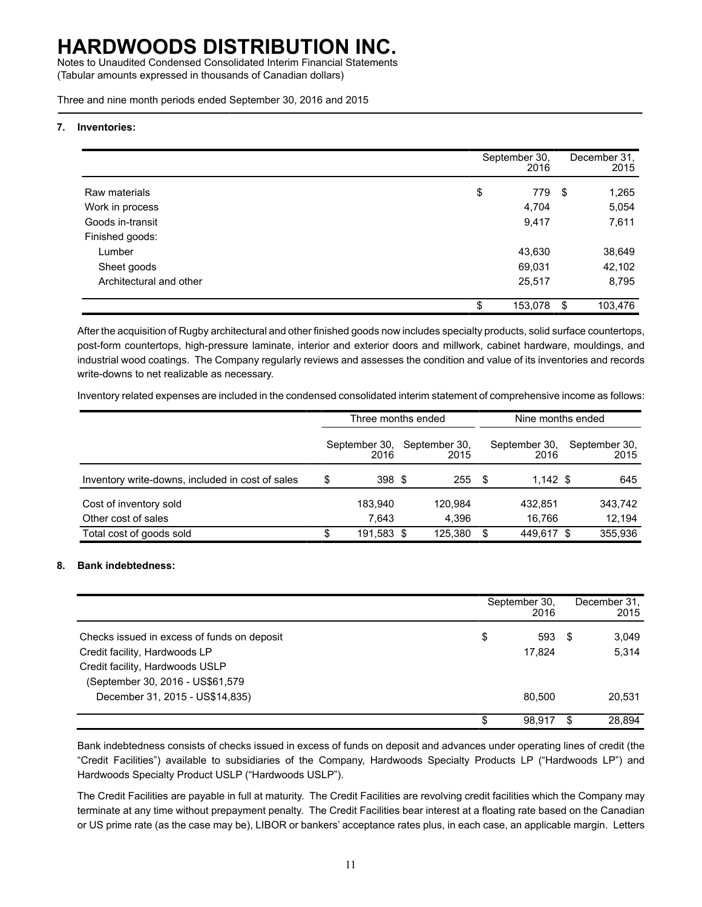Notes to Unaudited Condensed Consolidated Interim Financial Statements (Tabular amounts expressed in thousands of Canadian dollars)

Three and nine month periods ended September 30, 2016 and 2015

#### **7. Inventories:**

|                         | September 30,<br>2016 |     | December 31,<br>2015 |
|-------------------------|-----------------------|-----|----------------------|
| Raw materials           | \$<br>779             | -\$ | 1,265                |
| Work in process         | 4,704                 |     | 5,054                |
| Goods in-transit        | 9,417                 |     | 7,611                |
| Finished goods:         |                       |     |                      |
| Lumber                  | 43,630                |     | 38,649               |
| Sheet goods             | 69,031                |     | 42,102               |
| Architectural and other | 25,517                |     | 8,795                |
|                         | 153,078               | \$  | 103,476              |

After the acquisition of Rugby architectural and other finished goods now includes specialty products, solid surface countertops, post-form countertops, high-pressure laminate, interior and exterior doors and millwork, cabinet hardware, mouldings, and industrial wood coatings. The Company regularly reviews and assesses the condition and value of its inventories and records write-downs to net realizable as necessary.

Inventory related expenses are included in the condensed consolidated interim statement of comprehensive income as follows:

|                                                  |        | Three months ended    |      |                       | Nine months ended |                       |   |                       |
|--------------------------------------------------|--------|-----------------------|------|-----------------------|-------------------|-----------------------|---|-----------------------|
|                                                  |        | September 30,<br>2016 |      | September 30,<br>2015 |                   | September 30,<br>2016 |   | September 30,<br>2015 |
| Inventory write-downs, included in cost of sales | \$     | 398 <sup>5</sup>      |      | 255                   | - \$              | $1,142$ \$            |   | 645                   |
| Cost of inventory sold                           |        | 183.940               |      | 120.984               |                   | 432.851               |   | 343,742               |
| Other cost of sales                              |        | 7,643                 |      | 4.396                 |                   | 16.766                |   | 12,194                |
| Total cost of goods sold                         | c<br>æ | 191,583               | - \$ | 125.380               | \$                | 449.617               | S | 355,936               |

### **8. Bank indebtedness:**

|                                             | September 30.<br>2016 |    | December 31,<br>2015 |
|---------------------------------------------|-----------------------|----|----------------------|
| Checks issued in excess of funds on deposit | \$<br>593             | -S | 3,049                |
| Credit facility, Hardwoods LP               | 17.824                |    | 5,314                |
| Credit facility, Hardwoods USLP             |                       |    |                      |
| (September 30, 2016 - US\$61,579            |                       |    |                      |
| December 31, 2015 - US\$14,835)             | 80.500                |    | 20,531               |
|                                             | \$<br>98.917          |    | 28.894               |

Bank indebtedness consists of checks issued in excess of funds on deposit and advances under operating lines of credit (the "Credit Facilities") available to subsidiaries of the Company, Hardwoods Specialty Products LP ("Hardwoods LP") and Hardwoods Specialty Product USLP ("Hardwoods USLP").

The Credit Facilities are payable in full at maturity. The Credit Facilities are revolving credit facilities which the Company may terminate at any time without prepayment penalty. The Credit Facilities bear interest at a floating rate based on the Canadian or US prime rate (as the case may be), LIBOR or bankers' acceptance rates plus, in each case, an applicable margin. Letters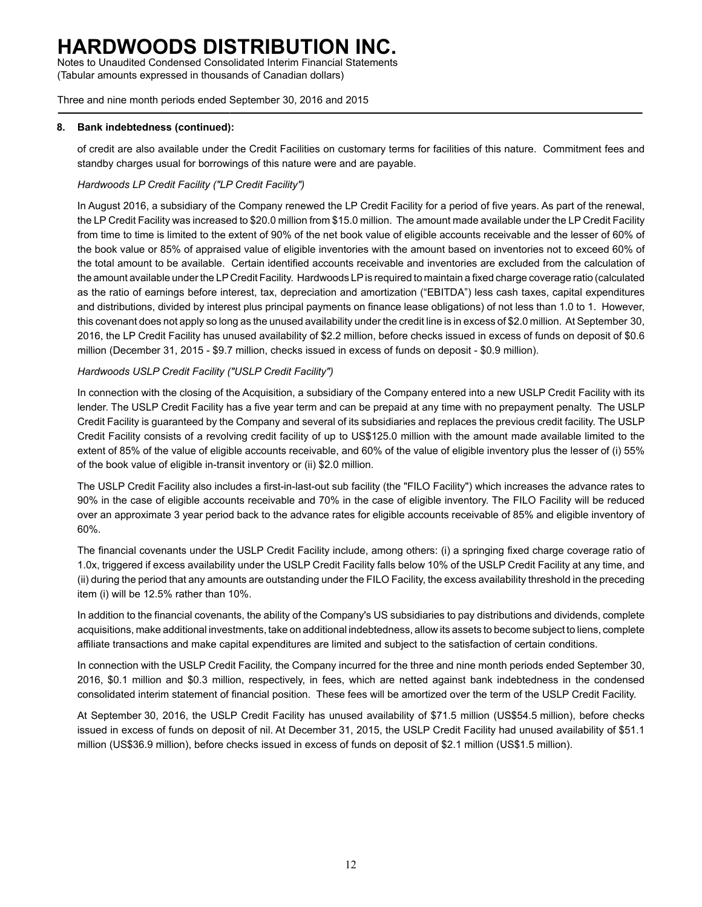Notes to Unaudited Condensed Consolidated Interim Financial Statements (Tabular amounts expressed in thousands of Canadian dollars)

Three and nine month periods ended September 30, 2016 and 2015

### **8. Bank indebtedness (continued):**

of credit are also available under the Credit Facilities on customary terms for facilities of this nature. Commitment fees and standby charges usual for borrowings of this nature were and are payable.

### *Hardwoods LP Credit Facility ("LP Credit Facility")*

In August 2016, a subsidiary of the Company renewed the LP Credit Facility for a period of five years. As part of the renewal, the LP Credit Facility was increased to \$20.0 million from \$15.0 million. The amount made available under the LP Credit Facility from time to time is limited to the extent of 90% of the net book value of eligible accounts receivable and the lesser of 60% of the book value or 85% of appraised value of eligible inventories with the amount based on inventories not to exceed 60% of the total amount to be available. Certain identified accounts receivable and inventories are excluded from the calculation of the amount available under the LP Credit Facility. Hardwoods LPis required to maintain a fixed charge coverage ratio (calculated as the ratio of earnings before interest, tax, depreciation and amortization ("EBITDA") less cash taxes, capital expenditures and distributions, divided by interest plus principal payments on finance lease obligations) of not less than 1.0 to 1. However, this covenant does not apply so long as the unused availability under the credit line is in excess of \$2.0 million. At September 30, 2016, the LP Credit Facility has unused availability of \$2.2 million, before checks issued in excess of funds on deposit of \$0.6 million (December 31, 2015 - \$9.7 million, checks issued in excess of funds on deposit - \$0.9 million).

### *Hardwoods USLP Credit Facility ("USLP Credit Facility")*

In connection with the closing of the Acquisition, a subsidiary of the Company entered into a new USLP Credit Facility with its lender. The USLP Credit Facility has a five year term and can be prepaid at any time with no prepayment penalty. The USLP Credit Facility is guaranteed by the Company and several of its subsidiaries and replaces the previous credit facility. The USLP Credit Facility consists of a revolving credit facility of up to US\$125.0 million with the amount made available limited to the extent of 85% of the value of eligible accounts receivable, and 60% of the value of eligible inventory plus the lesser of (i) 55% of the book value of eligible in-transit inventory or (ii) \$2.0 million.

The USLP Credit Facility also includes a first-in-last-out sub facility (the "FILO Facility") which increases the advance rates to 90% in the case of eligible accounts receivable and 70% in the case of eligible inventory. The FILO Facility will be reduced over an approximate 3 year period back to the advance rates for eligible accounts receivable of 85% and eligible inventory of 60%.

The financial covenants under the USLP Credit Facility include, among others: (i) a springing fixed charge coverage ratio of 1.0x, triggered if excess availability under the USLP Credit Facility falls below 10% of the USLP Credit Facility at any time, and (ii) during the period that any amounts are outstanding under the FILO Facility, the excess availability threshold in the preceding item (i) will be 12.5% rather than 10%.

In addition to the financial covenants, the ability of the Company's US subsidiaries to pay distributions and dividends, complete acquisitions, make additional investments, take on additional indebtedness, allow its assets to become subject to liens, complete affiliate transactions and make capital expenditures are limited and subject to the satisfaction of certain conditions.

In connection with the USLP Credit Facility, the Company incurred for the three and nine month periods ended September 30, 2016, \$0.1 million and \$0.3 million, respectively, in fees, which are netted against bank indebtedness in the condensed consolidated interim statement of financial position. These fees will be amortized over the term of the USLP Credit Facility.

At September 30, 2016, the USLP Credit Facility has unused availability of \$71.5 million (US\$54.5 million), before checks issued in excess of funds on deposit of nil. At December 31, 2015, the USLP Credit Facility had unused availability of \$51.1 million (US\$36.9 million), before checks issued in excess of funds on deposit of \$2.1 million (US\$1.5 million).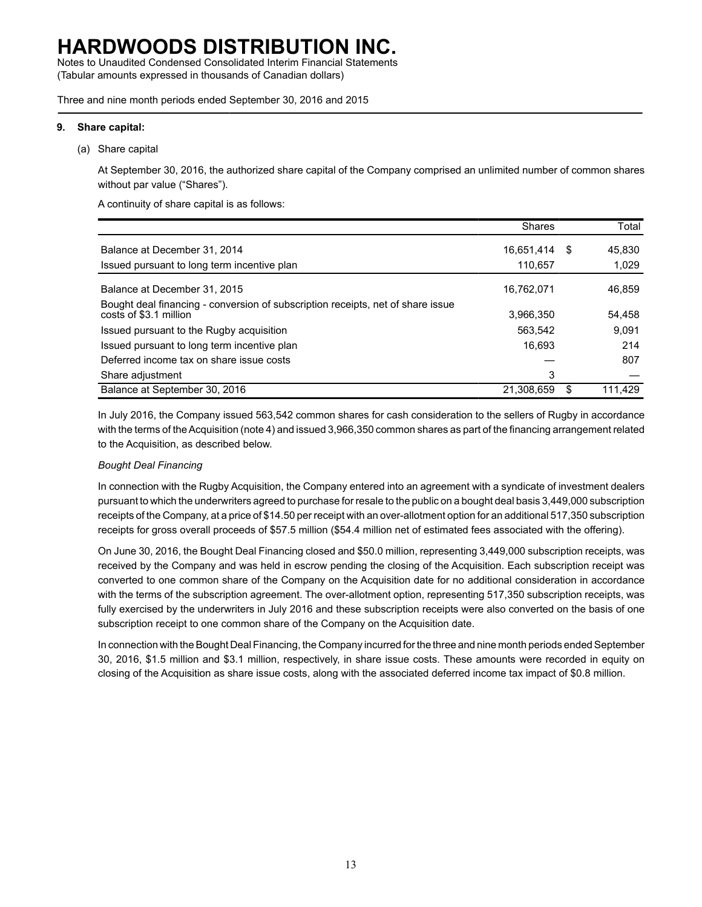Notes to Unaudited Condensed Consolidated Interim Financial Statements (Tabular amounts expressed in thousands of Canadian dollars)

Three and nine month periods ended September 30, 2016 and 2015

#### **9. Share capital:**

(a) Share capital

At September 30, 2016, the authorized share capital of the Company comprised an unlimited number of common shares without par value ("Shares").

A continuity of share capital is as follows:

|                                                                                                           | <b>Shares</b> |   | Total   |
|-----------------------------------------------------------------------------------------------------------|---------------|---|---------|
| Balance at December 31, 2014                                                                              | 16,651,414    | S | 45.830  |
| Issued pursuant to long term incentive plan                                                               | 110.657       |   | 1,029   |
| Balance at December 31, 2015                                                                              | 16,762,071    |   | 46,859  |
| Bought deal financing - conversion of subscription receipts, net of share issue<br>costs of \$3.1 million | 3,966,350     |   | 54,458  |
| Issued pursuant to the Rugby acquisition                                                                  | 563.542       |   | 9.091   |
| Issued pursuant to long term incentive plan                                                               | 16.693        |   | 214     |
| Deferred income tax on share issue costs                                                                  |               |   | 807     |
| Share adjustment                                                                                          | 3             |   |         |
| Balance at September 30, 2016                                                                             | 21,308,659    |   | 111.429 |

In July 2016, the Company issued 563,542 common shares for cash consideration to the sellers of Rugby in accordance with the terms of the Acquisition (note 4) and issued 3,966,350 common shares as part of the financing arrangement related to the Acquisition, as described below.

### *Bought Deal Financing*

In connection with the Rugby Acquisition, the Company entered into an agreement with a syndicate of investment dealers pursuant to which the underwriters agreed to purchase for resale to the public on a bought deal basis 3,449,000 subscription receipts of the Company, at a price of \$14.50 per receipt with an over-allotment option for an additional 517,350 subscription receipts for gross overall proceeds of \$57.5 million (\$54.4 million net of estimated fees associated with the offering).

On June 30, 2016, the Bought Deal Financing closed and \$50.0 million, representing 3,449,000 subscription receipts, was received by the Company and was held in escrow pending the closing of the Acquisition. Each subscription receipt was converted to one common share of the Company on the Acquisition date for no additional consideration in accordance with the terms of the subscription agreement. The over-allotment option, representing 517,350 subscription receipts, was fully exercised by the underwriters in July 2016 and these subscription receipts were also converted on the basis of one subscription receipt to one common share of the Company on the Acquisition date.

In connection with the Bought Deal Financing, the Company incurred for the three and nine month periods ended September 30, 2016, \$1.5 million and \$3.1 million, respectively, in share issue costs. These amounts were recorded in equity on closing of the Acquisition as share issue costs, along with the associated deferred income tax impact of \$0.8 million.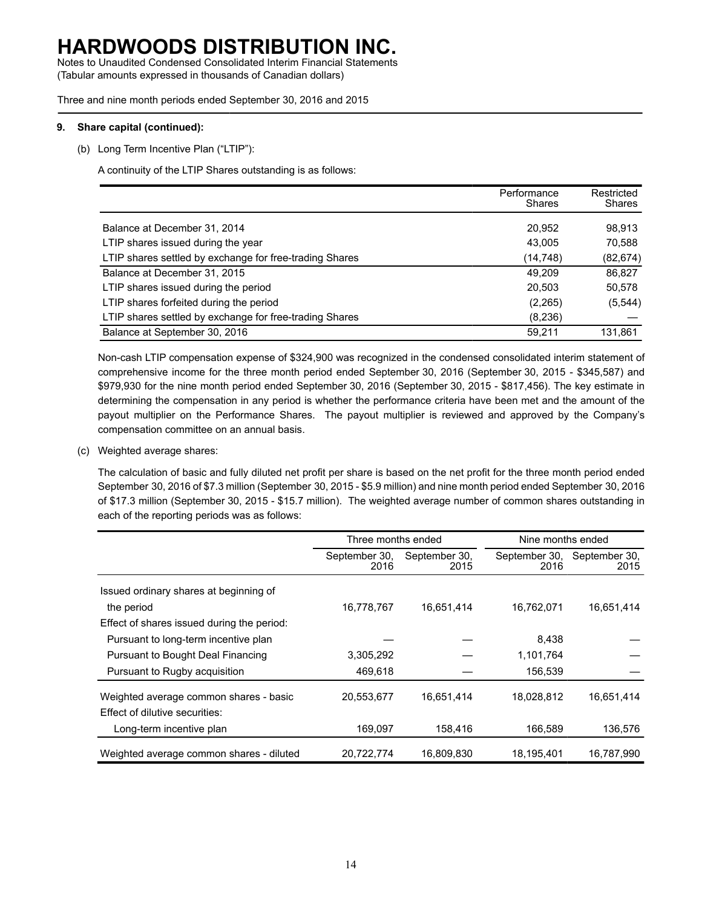Notes to Unaudited Condensed Consolidated Interim Financial Statements (Tabular amounts expressed in thousands of Canadian dollars)

Three and nine month periods ended September 30, 2016 and 2015

### **9. Share capital (continued):**

(b) Long Term Incentive Plan ("LTIP"):

A continuity of the LTIP Shares outstanding is as follows:

|                                                         | Performance<br>Shares | Restricted<br>Shares |
|---------------------------------------------------------|-----------------------|----------------------|
| Balance at December 31, 2014                            | 20,952                | 98,913               |
| LTIP shares issued during the year                      | 43.005                | 70,588               |
| LTIP shares settled by exchange for free-trading Shares | (14, 748)             | (82, 674)            |
| Balance at December 31, 2015                            | 49.209                | 86,827               |
| LTIP shares issued during the period                    | 20,503                | 50,578               |
| LTIP shares forfeited during the period                 | (2,265)               | (5, 544)             |
| LTIP shares settled by exchange for free-trading Shares | (8,236)               |                      |
| Balance at September 30, 2016                           | 59,211                | 131,861              |

Non-cash LTIP compensation expense of \$324,900 was recognized in the condensed consolidated interim statement of comprehensive income for the three month period ended September 30, 2016 (September 30, 2015 - \$345,587) and \$979,930 for the nine month period ended September 30, 2016 (September 30, 2015 - \$817,456). The key estimate in determining the compensation in any period is whether the performance criteria have been met and the amount of the payout multiplier on the Performance Shares. The payout multiplier is reviewed and approved by the Company's compensation committee on an annual basis.

(c) Weighted average shares:

The calculation of basic and fully diluted net profit per share is based on the net profit for the three month period ended September 30, 2016 of \$7.3 million (September 30, 2015 - \$5.9 million) and nine month period ended September 30, 2016 of \$17.3 million (September 30, 2015 - \$15.7 million). The weighted average number of common shares outstanding in each of the reporting periods was as follows:

|                                            | Three months ended                                                      |            | Nine months ended     |            |  |  |
|--------------------------------------------|-------------------------------------------------------------------------|------------|-----------------------|------------|--|--|
|                                            | September 30,<br>September 30,<br>September 30,<br>2016<br>2016<br>2015 |            | September 30,<br>2015 |            |  |  |
| Issued ordinary shares at beginning of     |                                                                         |            |                       |            |  |  |
| the period                                 | 16,778,767                                                              | 16,651,414 | 16,762,071            | 16,651,414 |  |  |
| Effect of shares issued during the period: |                                                                         |            |                       |            |  |  |
| Pursuant to long-term incentive plan       |                                                                         |            | 8,438                 |            |  |  |
| Pursuant to Bought Deal Financing          | 3,305,292                                                               |            | 1,101,764             |            |  |  |
| Pursuant to Rugby acquisition              | 469,618                                                                 |            | 156,539               |            |  |  |
| Weighted average common shares - basic     | 20.553.677                                                              | 16.651.414 | 18,028,812            | 16.651.414 |  |  |
| Effect of dilutive securities:             |                                                                         |            |                       |            |  |  |
| Long-term incentive plan                   | 169,097                                                                 | 158,416    | 166,589               | 136,576    |  |  |
| Weighted average common shares - diluted   | 20,722,774                                                              | 16,809,830 | 18,195,401            | 16,787,990 |  |  |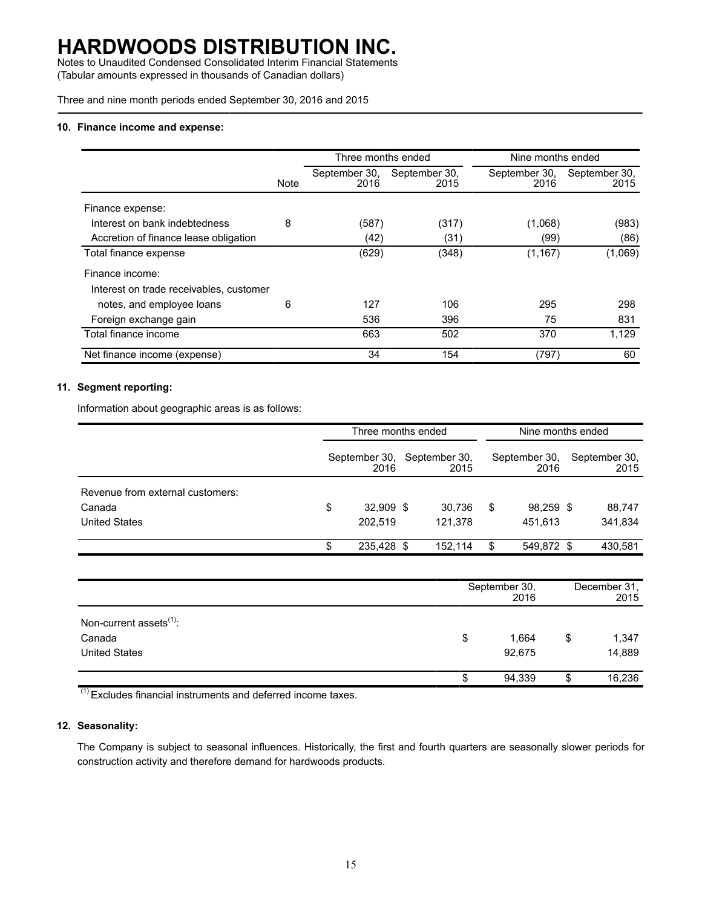Notes to Unaudited Condensed Consolidated Interim Financial Statements (Tabular amounts expressed in thousands of Canadian dollars)

Three and nine month periods ended September 30, 2016 and 2015

#### **10. Finance income and expense:**

|                                         |      | Three months ended    |                       | Nine months ended     |                       |  |  |
|-----------------------------------------|------|-----------------------|-----------------------|-----------------------|-----------------------|--|--|
|                                         | Note | September 30,<br>2016 | September 30,<br>2015 | September 30,<br>2016 | September 30,<br>2015 |  |  |
| Finance expense:                        |      |                       |                       |                       |                       |  |  |
| Interest on bank indebtedness           | 8    | (587)                 | (317)                 | (1,068)               | (983)                 |  |  |
| Accretion of finance lease obligation   |      | (42)                  | (31)                  | (99)                  | (86)                  |  |  |
| Total finance expense                   |      | (629)                 | (348)                 | (1, 167)              | (1,069)               |  |  |
| Finance income:                         |      |                       |                       |                       |                       |  |  |
| Interest on trade receivables, customer |      |                       |                       |                       |                       |  |  |
| notes, and employee loans               | 6    | 127                   | 106                   | 295                   | 298                   |  |  |
| Foreign exchange gain                   |      | 536                   | 396                   | 75                    | 831                   |  |  |
| Total finance income                    |      | 663                   | 502                   | 370                   | 1,129                 |  |  |
| Net finance income (expense)            |      | 34                    | 154                   | (797)                 | 60                    |  |  |

### **11. Segment reporting:**

Information about geographic areas is as follows:

|                                  | Three months ended    |  |                       | Nine months ended |                       |  |                       |
|----------------------------------|-----------------------|--|-----------------------|-------------------|-----------------------|--|-----------------------|
|                                  | September 30,<br>2016 |  | September 30.<br>2015 |                   | September 30,<br>2016 |  | September 30,<br>2015 |
| Revenue from external customers: |                       |  |                       |                   |                       |  |                       |
| Canada                           | \$<br>32,909 \$       |  | 30.736                | S                 | 98,259 \$             |  | 88,747                |
| <b>United States</b>             | 202.519               |  | 121.378               |                   | 451.613               |  | 341,834               |
|                                  | 235,428 \$            |  | 152.114               | S.                | 549,872 \$            |  | 430.581               |

|                                     | September 30,<br>2016 |        |    | December 31,<br>2015 |  |
|-------------------------------------|-----------------------|--------|----|----------------------|--|
| Non-current assets <sup>(1)</sup> : |                       |        |    |                      |  |
| Canada                              | \$                    | 1,664  | \$ | 1,347                |  |
| <b>United States</b>                |                       | 92,675 |    | 14,889               |  |
|                                     |                       | 94,339 | ۰D | 16,236               |  |

(1) Excludes financial instruments and deferred income taxes.

### **12. Seasonality:**

The Company is subject to seasonal influences. Historically, the first and fourth quarters are seasonally slower periods for construction activity and therefore demand for hardwoods products.